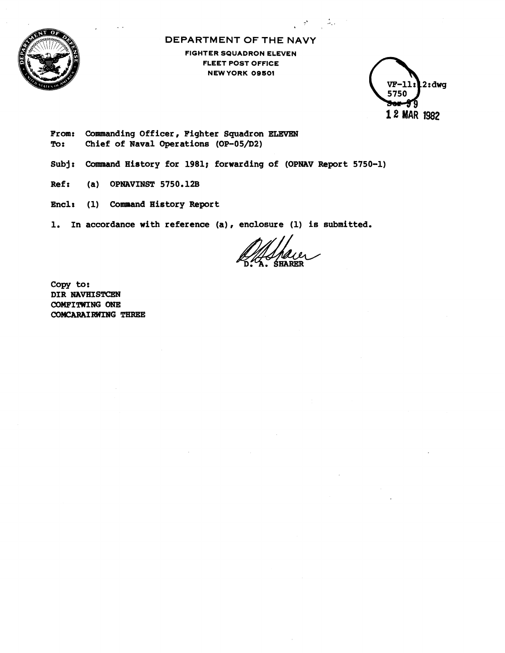

**DEPARTMENT OF THE NAVY** 

 $\mathcal{L} = \mathcal{L} \mathcal{L}$ 

**FIGHTER SQUADRON ELEVEN FLEET POST OFFICE NEWYORK OD501** 

 $2: d$ wq  $VF-11x$ 5750 79 12 MAR 1982

**From: Commanding Officer, Fighter Squadron ELEVEN To: Chief of Naval Operations (OP-05/D2)** 

- **Subjr Command History for 1981; forwarding of (OPNAV Report 5750-1)**
- **Ref** *t* **(a) OPNAVINST 5750.12B**
- **Enclr (1) Command History Report**

1. In accordance with reference (a), enclosure (1) is submitted.

**Copy to: DIR NAVHISTCEN COMFITWING ONE COMCARAIRWING** THRECE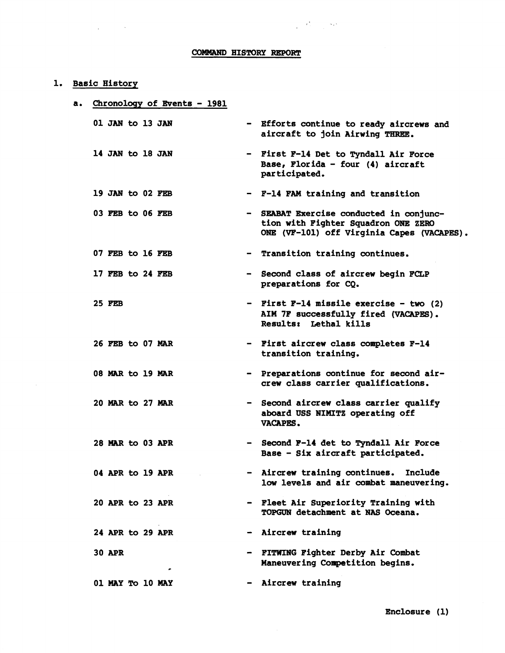# **COMMAND HISTORY REPORT**

#### **1. Basic History**

### **a. Chronology of Events** - **<sup>1981</sup>**

**14** JAN **to 18** JAN

**19** JAW **to 02 FEB** 

**03 FEB to 06 FEZ3** 

**07 FEB to 16 FEB** 

**17 FEB to 24 FEB** 

**25 FEB** 

**26 FEB to 07 MAR** 

**08 MAR to 19 MAR** 

**20 MAR to 27** *MAR* 

**28 MAR to 03 APR** 

**04 APR to 19 APR** 

**20 APR to 23 APR** 

**24 APR to 29 APR** 

**30 APR** 

- **01** JAW **to 13** JAN **Efforts continue to ready aircrews and aircraft to join Airwing** THREE.
	- **First F-14 Det to Tyndall Air Force Base, Florida** - **four (4) aircraft participated.**
	- **F-14 FAM training and transition**
	- **SEABAT Exercise conducted in conjunction with Fighter Squadron ONE ZERO ONE (VP-101) off Virginia Capes (VACAPES)** .
		- **Transition training continues.** 
			- **Second class of aircrew begin FCLP preparations for CQ.**
			- **First F-14 missile exercise two (2) AIM 7F successfully fired (VACAPES)** , **Results: Lethal kills**
			- **First aircrew class completes F-14 transition training.**
			- **Preparations continue for second aircrew class carrier qualifications.**
			- **Second aircrew class carrier qualify aboard USS IIMXTZ operating off VACAPES.**
			- **Second F-14 det to Tyndall Air Force Base** - **Six aircraft participated.**
			- **Aircrew training continues. Include low levels and air combat maneuvering.**
			- **Fleet Air Superiority Training with TOPGlLRB detachment at NAS Oceana.**
			- **Aircrew training**

**Aircrew training** 

**FITWING Fighter Derby Air Combat Maneuvering Competition begins.** 

**01 MAY To 10 MAY** 

-

**Enclosure (1)**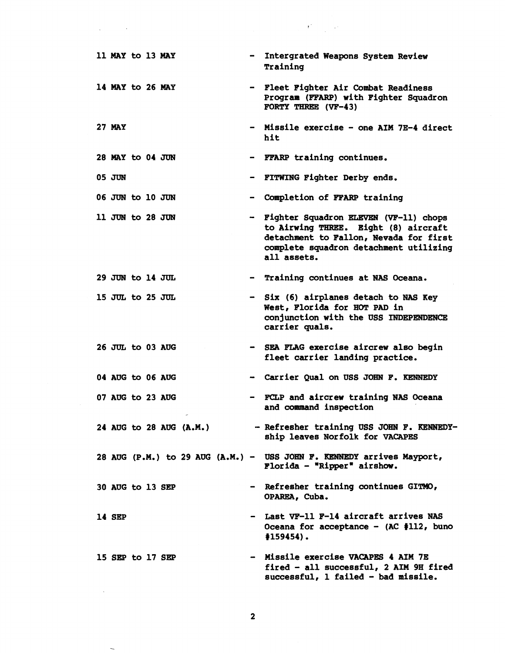|  | 11 MAY to 13 MAY |  |                  |                         |                | - Intergrated Weapons System Review<br>Training                                                                                                                                    |
|--|------------------|--|------------------|-------------------------|----------------|------------------------------------------------------------------------------------------------------------------------------------------------------------------------------------|
|  | 14 MAY to 26 MAY |  |                  |                         |                | - Fleet Fighter Air Combat Readiness<br>Program (FFARP) with Fighter Squadron<br>FORTY THREE (VF-43)                                                                               |
|  | <b>27 MAY</b>    |  |                  |                         |                | - Missile exercise - one AIM 7E-4 direct<br>hit                                                                                                                                    |
|  | 28 MAY to 04 JUN |  |                  |                         |                | - FFARP training continues.                                                                                                                                                        |
|  | 05 JUN           |  |                  |                         | $\blacksquare$ | FITWING Fighter Derby ends.                                                                                                                                                        |
|  | 06 JUN to 10 JUN |  |                  |                         | $\blacksquare$ | Completion of FFARP training                                                                                                                                                       |
|  | 11 JUN to 28 JUN |  |                  |                         |                | - Fighter Squadron ELEVEN (VF-11) chops<br>to Airwing THREE. Eight (8) aircraft<br>detachment to Fallon, Nevada for first<br>complete squadron detachment utilizing<br>all assets. |
|  | 29 JUN to 14 JUL |  |                  |                         | $\blacksquare$ | Training continues at NAS Oceana.                                                                                                                                                  |
|  | 15 JUL to 25 JUL |  |                  |                         |                | - Six (6) airplanes detach to NAS Key<br>West, Florida for HOT PAD in<br>conjunction with the USS INDEPENDENCE<br>carrier quals.                                                   |
|  |                  |  | 26 JUL to 03 AUG |                         |                | - SEA FLAG exercise aircrew also begin<br>fleet carrier landing practice.                                                                                                          |
|  | 04 AUG to 06 AUG |  |                  |                         | $\blacksquare$ | Carrier Qual on USS JOHN F. KENNEDY                                                                                                                                                |
|  |                  |  | 07 AUG to 23 AUG |                         |                | - FCLP and aircrew training NAS Oceana<br>and command inspection                                                                                                                   |
|  |                  |  |                  | 24 AUG to 28 AUG (A.M.) |                | - Refresher training USS JOHN F. KENNEDY-<br>ship leaves Norfolk for VACAPES                                                                                                       |
|  |                  |  |                  |                         |                | 28 AUG (P.M.) to 29 AUG (A.M.) - USS JOHN F. KENNEDY arrives Mayport,<br>Florida - "Ripper" airshow.                                                                               |
|  | 30 AUG to 13 SEP |  |                  |                         |                | - Refresher training continues GITMO,<br>OPAREA, Cuba.                                                                                                                             |
|  | 14 SEP           |  |                  |                         |                | - Last VF-11 F-14 aircraft arrives NAS<br>Oceana for acceptance - (AC #112, buno<br>$#159454$ .                                                                                    |
|  | 15 SEP to 17 SEP |  |                  |                         |                | - Missile exercise VACAPES 4 AIM 7E<br>fired - all successful, 2 AIM 9H fired<br>successful, 1 failed - bad missile.                                                               |
|  |                  |  |                  |                         |                |                                                                                                                                                                                    |

 $\label{eq:2} \begin{split} \mathcal{L}_{\text{max}}(\mathbf{r}) = \frac{1}{2} \sum_{i=1}^{N} \mathbf{r}_{i}^{\text{max}} \mathbf{r}_{i}^{\text{max}} \\ \mathcal{L}_{\text{max}}(\mathbf{r}_{i}^{\text{max}}) = \frac{1}{2} \sum_{i=1}^{N} \mathbf{r}_{i}^{\text{max}} \mathbf{r}_{i}^{\text{max}} \mathbf{r}_{i}^{\text{max}} \\ \mathcal{L}_{\text{max}}(\mathbf{r}_{i}^{\text{max}}) = \frac{1}{2} \sum_{i=1}^{N} \mathbf{r}_{i}^{\text{max$ 

 $\label{eq:2.1} \frac{1}{\sqrt{2}}\left(\frac{1}{\sqrt{2}}\right)^{2} \left(\frac{1}{\sqrt{2}}\right)^{2} \left(\frac{1}{\sqrt{2}}\right)^{2} \left(\frac{1}{\sqrt{2}}\right)^{2} \left(\frac{1}{\sqrt{2}}\right)^{2} \left(\frac{1}{\sqrt{2}}\right)^{2} \left(\frac{1}{\sqrt{2}}\right)^{2} \left(\frac{1}{\sqrt{2}}\right)^{2} \left(\frac{1}{\sqrt{2}}\right)^{2} \left(\frac{1}{\sqrt{2}}\right)^{2} \left(\frac{1}{\sqrt{2}}\right)^{2} \left(\$ 

 $\overline{\phantom{0}}$ 

 $\overline{\mathbf{2}}$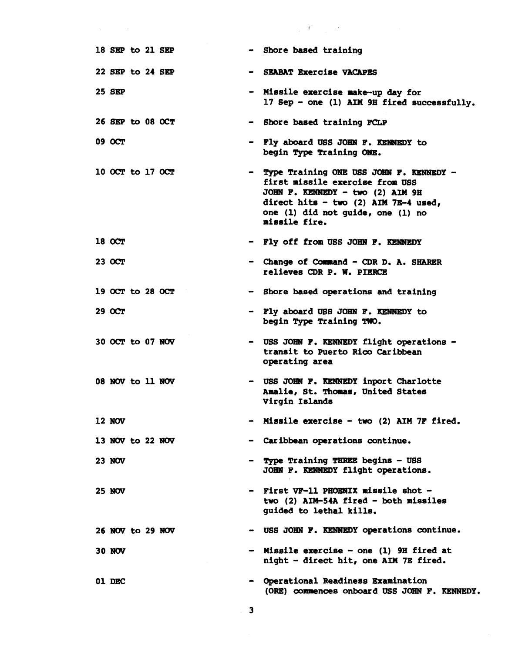|                  |  |                | $\label{eq:2.1} \frac{1}{2} \left( \frac{1}{2} \int_{0}^{2\pi} \left( \frac{1}{2} \right) \left( \frac{1}{2} \right) \left( \frac{1}{2} \right) \right) \left( \frac{1}{2} \int_{0}^{2\pi} \left( \frac{1}{2} \right) \left( \frac{1}{2} \right) \left( \frac{1}{2} \right) \left( \frac{1}{2} \right) \right) \, .$ |
|------------------|--|----------------|----------------------------------------------------------------------------------------------------------------------------------------------------------------------------------------------------------------------------------------------------------------------------------------------------------------------|
| 18 SEP to 21 SEP |  |                | - Shore based training                                                                                                                                                                                                                                                                                               |
| 22 SEP to 24 SEP |  |                | <b>SEABAT Exercise VACAPES</b>                                                                                                                                                                                                                                                                                       |
| 25 SEP           |  |                | - Missile exercise make-up day for<br>17 Sep - one (1) AIM 9H fired successfully.                                                                                                                                                                                                                                    |
| 26 SEP to 08 OCT |  |                | - Shore based training FCLP                                                                                                                                                                                                                                                                                          |
| 09 OCT           |  |                | Fly aboard USS JOHN F. KENNEDY to<br>begin Type Training ONE.                                                                                                                                                                                                                                                        |
| 10 OCT to 17 OCT |  |                | Type Training ONE USS JOHN F. KENNEDY -<br>first missile exercise from USS<br>JOHN F. KENNEDY - two (2) AIM 9H<br>direct hits - two (2) AIM 7E-4 used,<br>one (1) did not quide, one (1) no<br>missile fire.                                                                                                         |
| 18 OCT           |  |                | - Fly off from USS JOHN F. KENNEDY                                                                                                                                                                                                                                                                                   |
| 23 OCT           |  |                | - Change of Command - CDR D. A. SHARER<br>relieves CDR P. W. PIERCE                                                                                                                                                                                                                                                  |
| 19 OCT to 28 OCT |  |                | - Shore based operations and training                                                                                                                                                                                                                                                                                |
| <b>29 OCT</b>    |  |                | - Fly aboard USS JOHN F. KENNEDY to<br>begin Type Training TWO.                                                                                                                                                                                                                                                      |
| 30 OCT to 07 NOV |  |                | - USS JOHN F. KENNEDY flight operations -<br>transit to Puerto Rico Caribbean<br>operating area                                                                                                                                                                                                                      |
| 08 NOV to 11 NOV |  |                | USS JOHN F. KENNEDY inport Charlotte<br>Amalie, St. Thomas, United States<br>Virgin Islands                                                                                                                                                                                                                          |
| 12 NOV           |  |                | - Missile exercise - two (2) AIM 7F fired.                                                                                                                                                                                                                                                                           |
| 13 NOV to 22 NOV |  |                | Caribbean operations continue.                                                                                                                                                                                                                                                                                       |
| <b>23 NOV</b>    |  | $\blacksquare$ | Type Training THREE begins - USS<br>JOHN F. KENNEDY flight operations.                                                                                                                                                                                                                                               |
| <b>25 NOV</b>    |  |                | - First VF-11 PHOENIX missile shot -<br>two (2) AIM-54A fired - both missiles<br>guided to lethal kills.                                                                                                                                                                                                             |
| 26 NOV to 29 NOV |  |                | - USS JOHN F. KENNEDY operations continue.                                                                                                                                                                                                                                                                           |
| 30 NOV           |  |                | - Missile exercise - one (1) 9H fired at<br>night - direct hit, one AIM 7E fired.                                                                                                                                                                                                                                    |
| 01 DEC           |  |                | Operational Readiness Examination<br>(ORE) commences onboard USS JOHN F. KENNEDY.                                                                                                                                                                                                                                    |

 $\label{eq:2.1} \frac{1}{\sqrt{2\pi}}\int_{0}^{\infty}\frac{1}{\sqrt{2\pi}}\left(\frac{1}{\sqrt{2\pi}}\right)^{2\alpha} \frac{1}{\sqrt{2\pi}}\int_{0}^{\infty}\frac{1}{\sqrt{2\pi}}\left(\frac{1}{\sqrt{2\pi}}\right)^{2\alpha} \frac{1}{\sqrt{2\pi}}\frac{1}{\sqrt{2\pi}}\int_{0}^{\infty}\frac{1}{\sqrt{2\pi}}\frac{1}{\sqrt{2\pi}}\frac{1}{\sqrt{2\pi}}\frac{1}{\sqrt{2\pi}}\frac{1}{\sqrt{2\pi}}\frac{1}{\sqrt{$ 

 $\overline{\phantom{a}}$  3

 $\sim 10^6$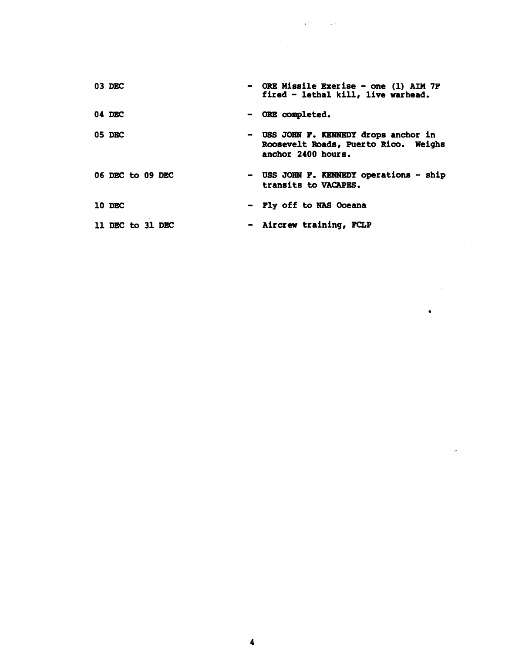| 03 DEC           | - ORE Missile Exerise - one (1) AIM 7F<br>fired - lethal kill, live warhead.                        |
|------------------|-----------------------------------------------------------------------------------------------------|
| 04 DEC           | - ORE completed.                                                                                    |
| 05 DBC           | - USS JOHN F. KENNEDY drops anchor in<br>Roosevelt Roads, Puerto Rico. Weighs<br>anchor 2400 hours. |
| 06 DEC to 09 DEC | - USS JOHN F. KENNEDY operations - ship<br>transits to VACAPES.                                     |
| 10 DEC           | - Fly off to NAS Oceana                                                                             |
| 11 DEC to 31 DEC | - Aircrew training, FCLP                                                                            |

 $\label{eq:2} \mathcal{L}=\mathcal{L}(\mathcal{F})\otimes\mathcal{F}^{\mathcal{F}}$ 

 $\mathcal{L}^{\text{max}}$ 

 $\label{eq:2.1} \frac{1}{\sqrt{2}}\int_{0}^{\infty}\frac{1}{\sqrt{2\pi}}\left(\frac{1}{\sqrt{2}}\right)^{2}d\mu\int_{0}^{\infty}\frac{1}{\sqrt{2\pi}}\left(\frac{1}{\sqrt{2}}\right)^{2}d\mu\int_{0}^{\infty}\frac{1}{\sqrt{2\pi}}\left(\frac{1}{\sqrt{2}}\right)^{2}d\mu\int_{0}^{\infty}\frac{1}{\sqrt{2\pi}}\left(\frac{1}{\sqrt{2}}\right)^{2}d\mu\int_{0}^{\infty}\frac{1}{\sqrt{2\pi}}\left(\frac{1}{\sqrt{2}}$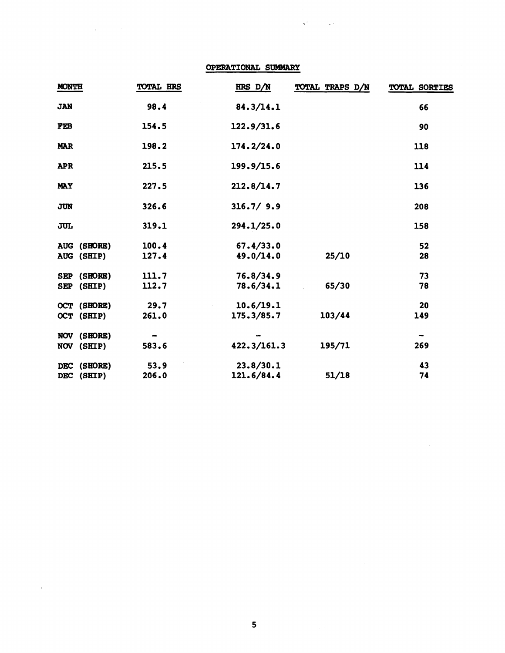**OPERATIONAL SUMHARY** 

 $\label{eq:2} \mathcal{L}(\mathbf{r}) = \mathcal{L}(\mathbf{r}) \mathcal{L}(\mathbf{r})$ 

 $\alpha$  ,  $\beta$ 

 $\label{eq:3.1} \mathbf{v}^{\mathrm{R}}_{\mathrm{max}} = \frac{1}{\sqrt{2}} \mathbf{v}^{\mathrm{R}}_{\mathrm{max}}$ 

| <b>MONTH</b>             |                           | <b>TOTAL HRS</b> | HRS D/N                 | TOTAL TRAPS D/N | <b>TOTAL SORTIES</b> |
|--------------------------|---------------------------|------------------|-------------------------|-----------------|----------------------|
| <b>JAN</b>               |                           | 98.4             | 84.3/14.1               |                 | 66                   |
| FEB                      |                           | 154.5            | 122.9/31.6              |                 | 90                   |
| <b>MAR</b>               |                           | 198.2            | 174.2/24.0              |                 | 118                  |
| <b>APR</b>               |                           | 215.5            | 199.9/15.6              |                 | 114                  |
| <b>MAY</b>               |                           | 227.5            | 212.8/14.7              |                 | 136                  |
| <b>JUN</b>               |                           | 326.6            | 316.7/9.9               |                 | 208                  |
| <b>JUL</b>               |                           | 319.1            | 294.1/25.0              |                 | 158                  |
|                          | AUG (SHORE)<br>AUG (SHIP) | 100.4<br>127.4   | 67.4/33.0<br>49.0/14.0  | 25/10           | 52<br>28             |
| <b>SEP</b><br><b>SEP</b> | (SHORE)<br>(SHIP)         | 111.7<br>112.7   | 76.8/34.9<br>78.6/34.1  | 65/30           | 73<br>78             |
| <b>OCT</b>               | (SHORE)<br>OCT (SHIP)     | 29.7<br>261.0    | 10.6/19.1<br>175.3/85.7 | 103/44          | 20<br>149            |
|                          | NOV (SHORE)<br>NOV (SHIP) | 583.6            | 422.3/161.3             | 195/71          | 269                  |
| <b>DEC</b><br><b>DEC</b> | (SHORE)<br>(SHIP)         | 53.9<br>206.0    | 23.8/30.1<br>121.6/84.4 | 51/18           | 43<br>74             |

 $\sim$   $\sim$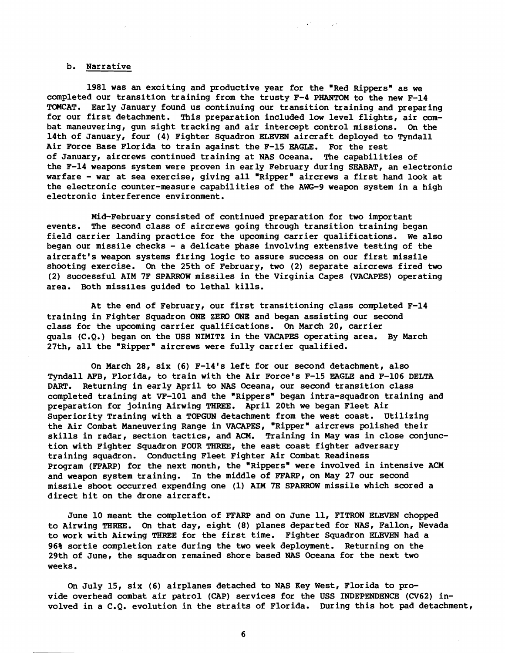#### b. Narrative

1981 was an exciting and productive year for the "Red Rippers" as we completed our transition training from the trusty F-4 PHANTOM to the new F-14 TOMCAT. Early January found us continuing our transition training and preparing for our first detachment. This preparation included low level flights, air combat maneuvering, gun sight tracking and air intercept control missions. On the 14th of January, four (4) Fighter Squadron ELEVEN aircraft deployed to Tyndall Air Force Base Florida to train against the F-15 **EAGLE.** For the rest of January, aircrews continued training at NAS Oceana. The capabilities of the F-14 weapons system were proven in early February during SEABAT, an electronic warfare - war at sea exercise, giving all "Ripper' aircrews a first hand look at the electronic counter-measure capabilities of the AWG-9 weapon system in a high electronic interference environment.

 $\label{eq:2.1} \frac{1}{2} \left( \frac{1}{2} \right)^2 \left( \frac{1}{2} \right)^2 \left( \frac{1}{2} \right)^2 \frac{1}{2} \left( \frac{1}{2} \right)^2$ 

Mid-February consisted of continued preparation for two important events. The second class of aircrews going through transition training began field carrier landing practice for the upcoming carrier qualifications. We also began our missile checks - a delicate phase involving extensive testing of the aircraft's weapon systems firing logic to assure success on our first missile shooting exercise. On the 25th of February, two (2) separate aircrews fired two (2) successful AIM 7F SPARROW missiles in the Virginia Capes (VACAPES) operating area. Both missiles guided to lethal kills.

At the end of February, our first transitioning class completed F-14 training in Fighter Squadron ONE ZERO ONE and began assisting our second class for the upcoming carrier qualifications. **On** March 20, carrier quals (C.Q.) began on the USS NIMITZ in the VACAPES operating area. By March 27th, all the "Ripper" aircrews were fully carrier qualified.

On March 28, six (6) F-14's left for our second detachment, also Tyndall **AFB,** Florida, to train with the Air Force's F-15 **EAGLE** and F-106 DELTA DART. Returning in early April to NAS Oceana, our second transition class completed training at VF-101 and the "Rippers" began intra-squadron training and preparation for joining Airwing THREE. April 20th we began Fleet Air Superiority Training with a TOPGUN detachment from the west coast. Utilizing the Air Combat Maneuvering Range in VACAPES, 'Ripper" aircrews polished their skills in radar, section tactics, and ACM. Training in May was in close conjunction with Fighter Squadron FOUR THRE, the east coast fighter adversary training squadron. Conducting Fleet Fighter Air Combat Readiness Program **(FFARP)** for the next month, the "Rippers' were involved in intensive ACM and weapon system training. In the middle of FFARP, on May 27 our second missile shoot occurred expending one (1) AIM 7E SPARROW missile which scored a direct hit on the drone aircraft.

June 10 meant the completion of **FFARP** and on June 11, FITRON ELEVEN chopped to Airwing THREE. On that day, eight (8) planes departed for NAS, Fallon, Nevada to work with Airwing THREE for the first time. Fighter Squadron ELEVEN had a 96% sortie completion rate during the two week deployment. Returning on the 29th of June, the squadron remained shore based NAS Oceana for the next two weeks.

On July 15, six (6) airplanes detached to NAS Key West, Florida to provide overhead combat air patrol (CAP) services for the USS INDEPENDENCE (CV62) involved in a C.Q. evolution in the straits of Florida. During this hot pad detachment,

6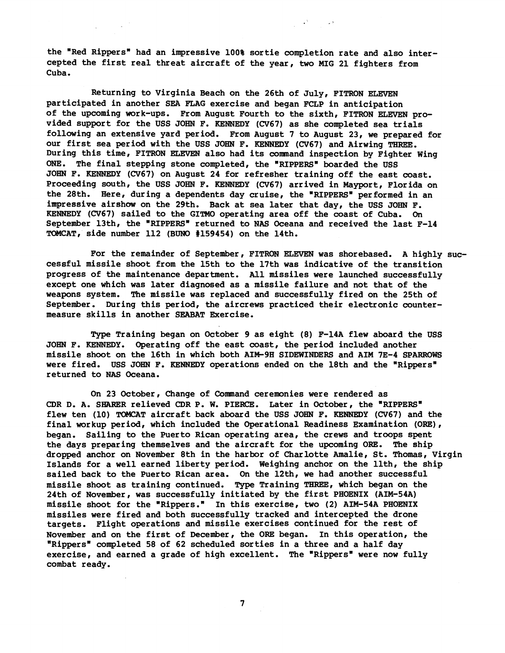the "Red Rippers" had an impressive 100% sortie completion rate and also intercepted the first real threat aircraft of the year, two MIG 21 fighters from Cuba.

 $\mathcal{O}(\mathbb{R}^3)$  and  $\mathcal{O}(\mathbb{R}^3)$ 

Returning to Virginia Beach on the 26th of July, FITRON ELEVEN participated in another SEA FLAG exercise and began FCLP in anticipation of the upcoming work-ups. From August Fourth to the sixth, FITRON ELEVEN provided support for the USS JOHN F. KENNEDY (CV67) as she completed sea trials following an extensive yard period. From August 7 to August 23, we prepared for our first sea period with the USS JOHN F. KENNEDY (CV67) and Airwing **THREE.**  During this time, FITRON ELEVEN also had its comnand inspection by Fighter Wing ONE. The final stepping stone completed, the "RIPPERS" boarded the USS JOHN F. KENNEDY (CV67) on August 24 for refresher training off the east coast. Proceeding south, the USS JOHN F. KENNEDY (CV67) arrived in Mayport, Florida on the 28th. Here, during a dependents day cruise, the "RIPPERS" performed in an impressive airshow on the 29th. Back at sea later that day, the USS JOHN F. KENNEDY (CV67) sailed to the GITMO operating area off the coast of Cuba. On September 13th, the "RIPPERS" returned to NAS Oceana and received the last F-14 TOMCAT, side number 112 **(BUN0** #159454) on the 14th.

For the remainder of September, FITRON ELEVEN was shorebased. A highly successful missile shoot from the 15th to the 17th was indicative of the transition progress of the maintenance department. All missiles were launched successfully except one which was later diagnosed as a missile failure and not that of the weapons system. The missile was replaced and successfully fired on the 25th of September. During this period, the aircrews practiced their electronic countermeasure skills in another SEABAT Exercise.

Type Training began on October 9 as eight (8) F-14A flew aboard the USS JOHN F. KENNEDY. Operating off the east coast, the period included another missile shoot on the 16th in which both AIM-9H SIDEWINDERS and AIM 7E-4 SPARROWS were fired. USS JOHN F. KENNEDY operations ended on the 18th and the "Rippers" returned to NAS Oceana.

On 23 October, Change of Command ceremonies were rendered as CDR D. A. SHARER relieved CDR P. W. PIERCE. Later in October, the "RIPPERS" flew ten (10) TOMCAT aircraft back aboard the USS JOHN F. KENNEDY (CV67) and the final workup period, which included the Operational Readiness Examination (ORE), began. Sailing to the Puerto Rican operating area, the crews and troops spent the days preparing themselves and the aircraft for the upcoming ORE. The ship dropped anchor on November 8th in the harbor of Charlotte Amalie, St. Thomas, Virgin Islands for a well earned liberty period. Weighing anchor on the llth, the ship sailed back to the Puerto Rican area. On the 12th, we had another successful missile shoot as training continued. **Type** Training **THREE,** which began on the 24th of November, was successfully initiated by the first PHOENIX (AIM-54A) missile shoot for the "Rippers." In this exercise, two (2) AIM-54A PHOENIX missiles were fired and both successfully tracked and intercepted the drone targets. Flight operations and missile exercises continued for the rest of November and on the first of December, the ORE began. In this operation, the "Rippers" completed 58 of 62 scheduled sorties in a three and a half day exercise, and earned a grade of high excellent. The "Rippers" were now fully combat ready.

 $7\phantom{.}$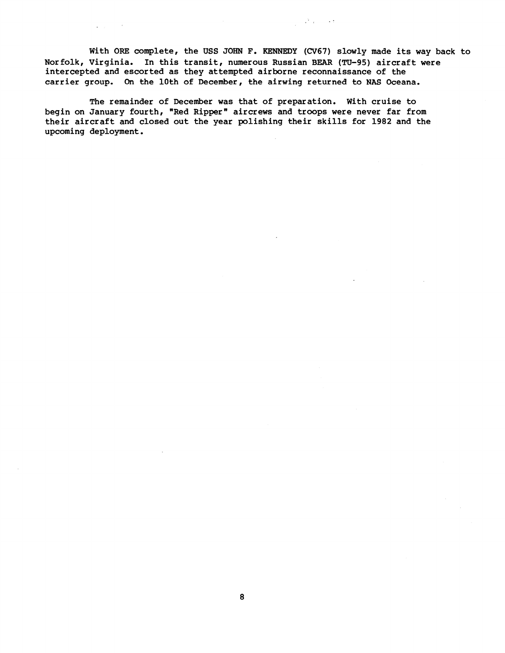With ORE complete, the **USS JOHN** F. **KENNEDY ((3767)** slowly made its way back to Nor **folk,** Virginia. In this transit, numerous Russian BEAR (TU-95) aircraft were intercepted and escorted as they attempted airborne reconnaissance of the carrier group. On the 10th of December, the airwing returned to NAS Oceana.

 $\frac{1}{2}$  ,  $\frac{1}{2} \frac{3}{2}$  ,  $\frac{1}{2}$  ,  $\frac{1}{2}$  ,  $\frac{1}{2}$ 

The remainder of December was that of preparation. With cruise to begin on January fourth, "Red Ripper" aircrews and troops were never far from their aircraft and closed out the year polishing their skills for 1982 and the upcoming deployment.

 $\sim$   $\sim$ 

 $\Delta \sim 10^4$